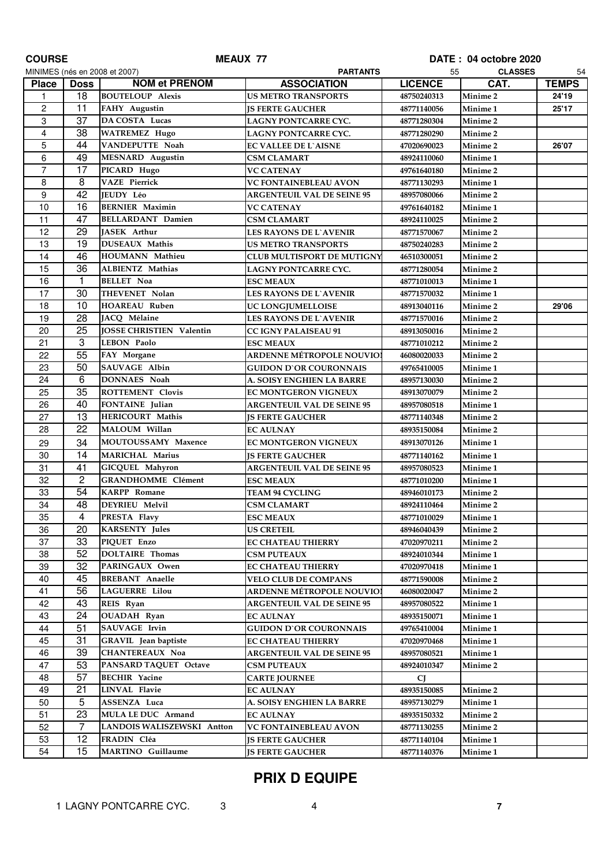| <b>PARTANTS</b><br><b>CLASSES</b><br>MINIMES (nés en 2008 et 2007)<br>55<br><b>NOM et PRENOM</b><br><b>ASSOCIATION</b><br><b>LICENCE</b><br>CAT.<br><b>Place</b><br><b>Doss</b><br>18<br><b>BOUTELOUP Alexis</b><br>Minime <sub>2</sub><br><b>US METRO TRANSPORTS</b><br>$\mathbf{1}$<br>48750240313<br>$\boldsymbol{2}$<br>11<br>FAHY Augustin<br>Minime 1<br><b>JS FERTE GAUCHER</b><br>48771140056<br>3<br>37<br>DA COSTA Lucas<br>LAGNY PONTCARRE CYC.<br>Minime <sub>2</sub><br>48771280304<br>4<br>38<br><b>WATREMEZ Hugo</b><br>Minime <sub>2</sub><br>LAGNY PONTCARRE CYC.<br>48771280290<br>5<br>44<br>VANDEPUTTE Noah<br>Minime <sub>2</sub><br>EC VALLEE DE L`AISNE<br>47020690023<br>6<br>49<br><b>MESNARD</b> Augustin<br>Minime 1<br><b>CSM CLAMART</b><br>48924110060<br>$\overline{7}$<br>17<br>PICARD Hugo<br>Minime <sub>2</sub><br><b>VC CATENAY</b><br>49761640180<br>8<br>8<br><b>VAZE Pierrick</b><br><b>VC FONTAINEBLEAU AVON</b><br>Minime 1<br>48771130293<br>42<br>9<br>JEUDY Léo<br>Minime <sub>2</sub><br><b>ARGENTEUIL VAL DE SEINE 95</b><br>48957080066<br>10<br>16<br><b>BERNIER Maximin</b><br><b>VC CATENAY</b><br>Minime 1<br>49761640182<br>47<br>11<br><b>BELLARDANT Damien</b><br>Minime <sub>2</sub><br>CSM CLAMART<br>48924110025<br>29<br>12<br>JASEK Arthur<br><b>LES RAYONS DE L`AVENIR</b><br>Minime <sub>2</sub><br>48771570067<br>13<br>19<br>DUSEAUX Mathis<br>Minime <sub>2</sub><br><b>US METRO TRANSPORTS</b><br>48750240283<br>14<br>46<br>HOUMANN Mathieu<br>Minime <sub>2</sub><br><b>CLUB MULTISPORT DE MUTIGNY</b><br>46510300051<br>36<br>15<br>ALBIENTZ Mathias<br>Minime <sub>2</sub><br>LAGNY PONTCARRE CYC.<br>48771280054<br>16<br>1<br><b>BELLET Noa</b><br><b>ESC MEAUX</b><br>Minime 1<br>48771010013<br>30<br>17<br>THEVENET Nolan<br><b>LES RAYONS DE L'AVENIR</b><br>Minime 1<br>48771570032<br>10<br>18<br><b>HOAREAU Ruben</b><br>Minime <sub>2</sub><br>UC LONGJUMELLOISE<br>48913040116<br>28<br>19<br>JACQ Mélaine<br>Minime <sub>2</sub><br><b>LES RAYONS DE L`AVENIR</b><br>48771570016<br>25<br>20<br><b>JOSSE CHRISTIEN Valentin</b><br>Minime <sub>2</sub><br><b>CC IGNY PALAISEAU 91</b><br>48913050016<br>3<br>21<br><b>LEBON Paolo</b><br>Minime <sub>2</sub><br><b>ESC MEAUX</b><br>48771010212<br>55<br>22<br>FAY Morgane<br>ARDENNE MÉTROPOLE NOUVIOI<br>Minime <sub>2</sub><br>46080020033<br>50<br>23<br>SAUVAGE Albin<br>Minime 1<br><b>GUIDON D`OR COURONNAIS</b><br>49765410005<br>6<br>24<br>DONNAES Noah<br>Minime <sub>2</sub><br>A. SOISY ENGHIEN LA BARRE<br>48957130030<br>35<br>25<br><b>ROTTEMENT Clovis</b><br>Minime <sub>2</sub><br>EC MONTGERON VIGNEUX<br>48913070079<br>26<br>40<br>FONTAINE Julian<br><b>ARGENTEUIL VAL DE SEINE 95</b><br>Minime 1<br>48957080518<br>13<br>27<br>HERICOURT Mathis<br><b>JS FERTE GAUCHER</b><br><b>Minime 2</b><br>48771140348<br>22<br>28<br>MALOUM Willan<br><b>EC AULNAY</b><br><b>Minime 2</b><br>48935150084<br>34<br><b>MOUTOUSSAMY Maxence</b><br>29<br>Minime 1<br>EC MONTGERON VIGNEUX<br>48913070126<br>14<br>30<br><b>MARICHAL Marius</b><br>Minime 1<br><b>JS FERTE GAUCHER</b><br>48771140162<br>31<br>41<br>GICQUEL Mahyron<br><b>ARGENTEUIL VAL DE SEINE 95</b><br>48957080523<br>Minime 1<br>$\overline{c}$<br>32<br><b>GRANDHOMME Clément</b><br>Minime 1<br><b>ESC MEAUX</b><br>48771010200<br>54<br>33<br><b>KARPP</b> Romane<br><b>TEAM 94 CYCLING</b><br>Minime <sub>2</sub><br>48946010173<br>34<br>48<br>DEYRIEU Melvil<br><b>CSM CLAMART</b><br>Minime 2<br>48924110464<br>35<br>4<br>PRESTA Flavy<br>48771010029<br><b>ESC MEAUX</b><br><b>Minime 1</b><br>20<br>36<br><b>KARSENTY Jules</b><br><b>US CRETEIL</b><br>48946040439<br>Minime 2<br>33<br>37<br>PIQUET Enzo<br>Minime <sub>2</sub><br>EC CHATEAU THIERRY<br>47020970211<br>52<br>38<br><b>DOLTAIRE Thomas</b><br><b>CSM PUTEAUX</b><br>48924010344<br>Minime 1<br>32<br>39<br>PARINGAUX Owen<br><b>EC CHATEAU THIERRY</b><br>47020970418<br>Minime 1<br>45<br><b>BREBANT</b> Anaelle<br>40<br><b>VELO CLUB DE COMPANS</b><br>Minime 2<br>48771590008<br>41<br>56<br><b>LAGUERRE Lilou</b><br>ARDENNE MÉTROPOLE NOUVIOI<br>Minime 2<br>46080020047<br>42<br>43<br>REIS Ryan<br>48957080522<br><b>ARGENTEUIL VAL DE SEINE 95</b><br>Minime 1<br>24<br>43<br><b>OUADAH Ryan</b><br><b>EC AULNAY</b><br>48935150071<br>Minime 1<br>44<br>51<br>SAUVAGE Irvin<br><b>GUIDON D`OR COURONNAIS</b><br>49765410004<br>Minime 1<br>31<br>45<br>GRAVIL Jean baptiste<br><b>EC CHATEAU THIERRY</b><br>47020970468<br>Minime 1<br>39<br>46<br>CHANTEREAUX Noa<br>48957080521<br>Minime 1<br><b>ARGENTEUIL VAL DE SEINE 95</b><br>53<br>47<br>PANSARD TAQUET Octave<br><b>CSM PUTEAUX</b><br>48924010347<br>Minime 2<br>57<br><b>BECHIR Yacine</b><br>48<br><b>CARTE JOURNEE</b><br><b>CJ</b><br>21<br><b>LINVAL Flavie</b><br>49<br><b>EC AULNAY</b><br>48935150085<br><b>Minime 2</b><br>5<br>ASSENZA Luca<br>50<br>A. SOISY ENGHIEN LA BARRE<br>48957130279<br>Minime 1<br>23<br>51<br>MULA LE DUC Armand<br><b>EC AULNAY</b><br>48935150332<br>Minime 2<br>7<br>52<br>LANDOIS WALISZEWSKI Antton<br>Minime <sub>2</sub><br>VC FONTAINEBLEAU AVON<br>48771130255<br>53<br>12<br>FRADIN Cléa<br>Minime 1<br><b>JS FERTE GAUCHER</b><br>48771140104<br>54<br>15<br>MARTINO Guillaume<br>Minime 1<br><b>JS FERTE GAUCHER</b><br>48771140376 | <b>COURSE</b> | <b>MEAUX 77</b> |  | DATE: 04 octobre 2020 |              |
|-----------------------------------------------------------------------------------------------------------------------------------------------------------------------------------------------------------------------------------------------------------------------------------------------------------------------------------------------------------------------------------------------------------------------------------------------------------------------------------------------------------------------------------------------------------------------------------------------------------------------------------------------------------------------------------------------------------------------------------------------------------------------------------------------------------------------------------------------------------------------------------------------------------------------------------------------------------------------------------------------------------------------------------------------------------------------------------------------------------------------------------------------------------------------------------------------------------------------------------------------------------------------------------------------------------------------------------------------------------------------------------------------------------------------------------------------------------------------------------------------------------------------------------------------------------------------------------------------------------------------------------------------------------------------------------------------------------------------------------------------------------------------------------------------------------------------------------------------------------------------------------------------------------------------------------------------------------------------------------------------------------------------------------------------------------------------------------------------------------------------------------------------------------------------------------------------------------------------------------------------------------------------------------------------------------------------------------------------------------------------------------------------------------------------------------------------------------------------------------------------------------------------------------------------------------------------------------------------------------------------------------------------------------------------------------------------------------------------------------------------------------------------------------------------------------------------------------------------------------------------------------------------------------------------------------------------------------------------------------------------------------------------------------------------------------------------------------------------------------------------------------------------------------------------------------------------------------------------------------------------------------------------------------------------------------------------------------------------------------------------------------------------------------------------------------------------------------------------------------------------------------------------------------------------------------------------------------------------------------------------------------------------------------------------------------------------------------------------------------------------------------------------------------------------------------------------------------------------------------------------------------------------------------------------------------------------------------------------------------------------------------------------------------------------------------------------------------------------------------------------------------------------------------------------------------------------------------------------------------------------------------------------------------------------------------------------------------------------------------------------------------------------------------------------------------------------------------------------------------------------------------------------------------------------------------------------------------------------------------------------------------------------------------------------------------------------------------------------------------------------------------------------------------------------------------------------------------------------------------------------------------------------------------------------------------------------------------------------------------------------------------------------------------------------------------------------------------------------------------------------------------------------------------------------------------------------------------------------------------------------------------------------------------------------------------------------------------------------------------|---------------|-----------------|--|-----------------------|--------------|
|                                                                                                                                                                                                                                                                                                                                                                                                                                                                                                                                                                                                                                                                                                                                                                                                                                                                                                                                                                                                                                                                                                                                                                                                                                                                                                                                                                                                                                                                                                                                                                                                                                                                                                                                                                                                                                                                                                                                                                                                                                                                                                                                                                                                                                                                                                                                                                                                                                                                                                                                                                                                                                                                                                                                                                                                                                                                                                                                                                                                                                                                                                                                                                                                                                                                                                                                                                                                                                                                                                                                                                                                                                                                                                                                                                                                                                                                                                                                                                                                                                                                                                                                                                                                                                                                                                                                                                                                                                                                                                                                                                                                                                                                                                                                                                                                                                                                                                                                                                                                                                                                                                                                                                                                                                                                                                                                                           |               |                 |  |                       | 54           |
|                                                                                                                                                                                                                                                                                                                                                                                                                                                                                                                                                                                                                                                                                                                                                                                                                                                                                                                                                                                                                                                                                                                                                                                                                                                                                                                                                                                                                                                                                                                                                                                                                                                                                                                                                                                                                                                                                                                                                                                                                                                                                                                                                                                                                                                                                                                                                                                                                                                                                                                                                                                                                                                                                                                                                                                                                                                                                                                                                                                                                                                                                                                                                                                                                                                                                                                                                                                                                                                                                                                                                                                                                                                                                                                                                                                                                                                                                                                                                                                                                                                                                                                                                                                                                                                                                                                                                                                                                                                                                                                                                                                                                                                                                                                                                                                                                                                                                                                                                                                                                                                                                                                                                                                                                                                                                                                                                           |               |                 |  |                       | <b>TEMPS</b> |
|                                                                                                                                                                                                                                                                                                                                                                                                                                                                                                                                                                                                                                                                                                                                                                                                                                                                                                                                                                                                                                                                                                                                                                                                                                                                                                                                                                                                                                                                                                                                                                                                                                                                                                                                                                                                                                                                                                                                                                                                                                                                                                                                                                                                                                                                                                                                                                                                                                                                                                                                                                                                                                                                                                                                                                                                                                                                                                                                                                                                                                                                                                                                                                                                                                                                                                                                                                                                                                                                                                                                                                                                                                                                                                                                                                                                                                                                                                                                                                                                                                                                                                                                                                                                                                                                                                                                                                                                                                                                                                                                                                                                                                                                                                                                                                                                                                                                                                                                                                                                                                                                                                                                                                                                                                                                                                                                                           |               |                 |  |                       | 24'19        |
|                                                                                                                                                                                                                                                                                                                                                                                                                                                                                                                                                                                                                                                                                                                                                                                                                                                                                                                                                                                                                                                                                                                                                                                                                                                                                                                                                                                                                                                                                                                                                                                                                                                                                                                                                                                                                                                                                                                                                                                                                                                                                                                                                                                                                                                                                                                                                                                                                                                                                                                                                                                                                                                                                                                                                                                                                                                                                                                                                                                                                                                                                                                                                                                                                                                                                                                                                                                                                                                                                                                                                                                                                                                                                                                                                                                                                                                                                                                                                                                                                                                                                                                                                                                                                                                                                                                                                                                                                                                                                                                                                                                                                                                                                                                                                                                                                                                                                                                                                                                                                                                                                                                                                                                                                                                                                                                                                           |               |                 |  |                       | 25'17        |
|                                                                                                                                                                                                                                                                                                                                                                                                                                                                                                                                                                                                                                                                                                                                                                                                                                                                                                                                                                                                                                                                                                                                                                                                                                                                                                                                                                                                                                                                                                                                                                                                                                                                                                                                                                                                                                                                                                                                                                                                                                                                                                                                                                                                                                                                                                                                                                                                                                                                                                                                                                                                                                                                                                                                                                                                                                                                                                                                                                                                                                                                                                                                                                                                                                                                                                                                                                                                                                                                                                                                                                                                                                                                                                                                                                                                                                                                                                                                                                                                                                                                                                                                                                                                                                                                                                                                                                                                                                                                                                                                                                                                                                                                                                                                                                                                                                                                                                                                                                                                                                                                                                                                                                                                                                                                                                                                                           |               |                 |  |                       |              |
|                                                                                                                                                                                                                                                                                                                                                                                                                                                                                                                                                                                                                                                                                                                                                                                                                                                                                                                                                                                                                                                                                                                                                                                                                                                                                                                                                                                                                                                                                                                                                                                                                                                                                                                                                                                                                                                                                                                                                                                                                                                                                                                                                                                                                                                                                                                                                                                                                                                                                                                                                                                                                                                                                                                                                                                                                                                                                                                                                                                                                                                                                                                                                                                                                                                                                                                                                                                                                                                                                                                                                                                                                                                                                                                                                                                                                                                                                                                                                                                                                                                                                                                                                                                                                                                                                                                                                                                                                                                                                                                                                                                                                                                                                                                                                                                                                                                                                                                                                                                                                                                                                                                                                                                                                                                                                                                                                           |               |                 |  |                       |              |
|                                                                                                                                                                                                                                                                                                                                                                                                                                                                                                                                                                                                                                                                                                                                                                                                                                                                                                                                                                                                                                                                                                                                                                                                                                                                                                                                                                                                                                                                                                                                                                                                                                                                                                                                                                                                                                                                                                                                                                                                                                                                                                                                                                                                                                                                                                                                                                                                                                                                                                                                                                                                                                                                                                                                                                                                                                                                                                                                                                                                                                                                                                                                                                                                                                                                                                                                                                                                                                                                                                                                                                                                                                                                                                                                                                                                                                                                                                                                                                                                                                                                                                                                                                                                                                                                                                                                                                                                                                                                                                                                                                                                                                                                                                                                                                                                                                                                                                                                                                                                                                                                                                                                                                                                                                                                                                                                                           |               |                 |  |                       | 26'07        |
|                                                                                                                                                                                                                                                                                                                                                                                                                                                                                                                                                                                                                                                                                                                                                                                                                                                                                                                                                                                                                                                                                                                                                                                                                                                                                                                                                                                                                                                                                                                                                                                                                                                                                                                                                                                                                                                                                                                                                                                                                                                                                                                                                                                                                                                                                                                                                                                                                                                                                                                                                                                                                                                                                                                                                                                                                                                                                                                                                                                                                                                                                                                                                                                                                                                                                                                                                                                                                                                                                                                                                                                                                                                                                                                                                                                                                                                                                                                                                                                                                                                                                                                                                                                                                                                                                                                                                                                                                                                                                                                                                                                                                                                                                                                                                                                                                                                                                                                                                                                                                                                                                                                                                                                                                                                                                                                                                           |               |                 |  |                       |              |
|                                                                                                                                                                                                                                                                                                                                                                                                                                                                                                                                                                                                                                                                                                                                                                                                                                                                                                                                                                                                                                                                                                                                                                                                                                                                                                                                                                                                                                                                                                                                                                                                                                                                                                                                                                                                                                                                                                                                                                                                                                                                                                                                                                                                                                                                                                                                                                                                                                                                                                                                                                                                                                                                                                                                                                                                                                                                                                                                                                                                                                                                                                                                                                                                                                                                                                                                                                                                                                                                                                                                                                                                                                                                                                                                                                                                                                                                                                                                                                                                                                                                                                                                                                                                                                                                                                                                                                                                                                                                                                                                                                                                                                                                                                                                                                                                                                                                                                                                                                                                                                                                                                                                                                                                                                                                                                                                                           |               |                 |  |                       |              |
|                                                                                                                                                                                                                                                                                                                                                                                                                                                                                                                                                                                                                                                                                                                                                                                                                                                                                                                                                                                                                                                                                                                                                                                                                                                                                                                                                                                                                                                                                                                                                                                                                                                                                                                                                                                                                                                                                                                                                                                                                                                                                                                                                                                                                                                                                                                                                                                                                                                                                                                                                                                                                                                                                                                                                                                                                                                                                                                                                                                                                                                                                                                                                                                                                                                                                                                                                                                                                                                                                                                                                                                                                                                                                                                                                                                                                                                                                                                                                                                                                                                                                                                                                                                                                                                                                                                                                                                                                                                                                                                                                                                                                                                                                                                                                                                                                                                                                                                                                                                                                                                                                                                                                                                                                                                                                                                                                           |               |                 |  |                       |              |
|                                                                                                                                                                                                                                                                                                                                                                                                                                                                                                                                                                                                                                                                                                                                                                                                                                                                                                                                                                                                                                                                                                                                                                                                                                                                                                                                                                                                                                                                                                                                                                                                                                                                                                                                                                                                                                                                                                                                                                                                                                                                                                                                                                                                                                                                                                                                                                                                                                                                                                                                                                                                                                                                                                                                                                                                                                                                                                                                                                                                                                                                                                                                                                                                                                                                                                                                                                                                                                                                                                                                                                                                                                                                                                                                                                                                                                                                                                                                                                                                                                                                                                                                                                                                                                                                                                                                                                                                                                                                                                                                                                                                                                                                                                                                                                                                                                                                                                                                                                                                                                                                                                                                                                                                                                                                                                                                                           |               |                 |  |                       |              |
|                                                                                                                                                                                                                                                                                                                                                                                                                                                                                                                                                                                                                                                                                                                                                                                                                                                                                                                                                                                                                                                                                                                                                                                                                                                                                                                                                                                                                                                                                                                                                                                                                                                                                                                                                                                                                                                                                                                                                                                                                                                                                                                                                                                                                                                                                                                                                                                                                                                                                                                                                                                                                                                                                                                                                                                                                                                                                                                                                                                                                                                                                                                                                                                                                                                                                                                                                                                                                                                                                                                                                                                                                                                                                                                                                                                                                                                                                                                                                                                                                                                                                                                                                                                                                                                                                                                                                                                                                                                                                                                                                                                                                                                                                                                                                                                                                                                                                                                                                                                                                                                                                                                                                                                                                                                                                                                                                           |               |                 |  |                       |              |
|                                                                                                                                                                                                                                                                                                                                                                                                                                                                                                                                                                                                                                                                                                                                                                                                                                                                                                                                                                                                                                                                                                                                                                                                                                                                                                                                                                                                                                                                                                                                                                                                                                                                                                                                                                                                                                                                                                                                                                                                                                                                                                                                                                                                                                                                                                                                                                                                                                                                                                                                                                                                                                                                                                                                                                                                                                                                                                                                                                                                                                                                                                                                                                                                                                                                                                                                                                                                                                                                                                                                                                                                                                                                                                                                                                                                                                                                                                                                                                                                                                                                                                                                                                                                                                                                                                                                                                                                                                                                                                                                                                                                                                                                                                                                                                                                                                                                                                                                                                                                                                                                                                                                                                                                                                                                                                                                                           |               |                 |  |                       |              |
|                                                                                                                                                                                                                                                                                                                                                                                                                                                                                                                                                                                                                                                                                                                                                                                                                                                                                                                                                                                                                                                                                                                                                                                                                                                                                                                                                                                                                                                                                                                                                                                                                                                                                                                                                                                                                                                                                                                                                                                                                                                                                                                                                                                                                                                                                                                                                                                                                                                                                                                                                                                                                                                                                                                                                                                                                                                                                                                                                                                                                                                                                                                                                                                                                                                                                                                                                                                                                                                                                                                                                                                                                                                                                                                                                                                                                                                                                                                                                                                                                                                                                                                                                                                                                                                                                                                                                                                                                                                                                                                                                                                                                                                                                                                                                                                                                                                                                                                                                                                                                                                                                                                                                                                                                                                                                                                                                           |               |                 |  |                       |              |
|                                                                                                                                                                                                                                                                                                                                                                                                                                                                                                                                                                                                                                                                                                                                                                                                                                                                                                                                                                                                                                                                                                                                                                                                                                                                                                                                                                                                                                                                                                                                                                                                                                                                                                                                                                                                                                                                                                                                                                                                                                                                                                                                                                                                                                                                                                                                                                                                                                                                                                                                                                                                                                                                                                                                                                                                                                                                                                                                                                                                                                                                                                                                                                                                                                                                                                                                                                                                                                                                                                                                                                                                                                                                                                                                                                                                                                                                                                                                                                                                                                                                                                                                                                                                                                                                                                                                                                                                                                                                                                                                                                                                                                                                                                                                                                                                                                                                                                                                                                                                                                                                                                                                                                                                                                                                                                                                                           |               |                 |  |                       |              |
|                                                                                                                                                                                                                                                                                                                                                                                                                                                                                                                                                                                                                                                                                                                                                                                                                                                                                                                                                                                                                                                                                                                                                                                                                                                                                                                                                                                                                                                                                                                                                                                                                                                                                                                                                                                                                                                                                                                                                                                                                                                                                                                                                                                                                                                                                                                                                                                                                                                                                                                                                                                                                                                                                                                                                                                                                                                                                                                                                                                                                                                                                                                                                                                                                                                                                                                                                                                                                                                                                                                                                                                                                                                                                                                                                                                                                                                                                                                                                                                                                                                                                                                                                                                                                                                                                                                                                                                                                                                                                                                                                                                                                                                                                                                                                                                                                                                                                                                                                                                                                                                                                                                                                                                                                                                                                                                                                           |               |                 |  |                       |              |
|                                                                                                                                                                                                                                                                                                                                                                                                                                                                                                                                                                                                                                                                                                                                                                                                                                                                                                                                                                                                                                                                                                                                                                                                                                                                                                                                                                                                                                                                                                                                                                                                                                                                                                                                                                                                                                                                                                                                                                                                                                                                                                                                                                                                                                                                                                                                                                                                                                                                                                                                                                                                                                                                                                                                                                                                                                                                                                                                                                                                                                                                                                                                                                                                                                                                                                                                                                                                                                                                                                                                                                                                                                                                                                                                                                                                                                                                                                                                                                                                                                                                                                                                                                                                                                                                                                                                                                                                                                                                                                                                                                                                                                                                                                                                                                                                                                                                                                                                                                                                                                                                                                                                                                                                                                                                                                                                                           |               |                 |  |                       |              |
|                                                                                                                                                                                                                                                                                                                                                                                                                                                                                                                                                                                                                                                                                                                                                                                                                                                                                                                                                                                                                                                                                                                                                                                                                                                                                                                                                                                                                                                                                                                                                                                                                                                                                                                                                                                                                                                                                                                                                                                                                                                                                                                                                                                                                                                                                                                                                                                                                                                                                                                                                                                                                                                                                                                                                                                                                                                                                                                                                                                                                                                                                                                                                                                                                                                                                                                                                                                                                                                                                                                                                                                                                                                                                                                                                                                                                                                                                                                                                                                                                                                                                                                                                                                                                                                                                                                                                                                                                                                                                                                                                                                                                                                                                                                                                                                                                                                                                                                                                                                                                                                                                                                                                                                                                                                                                                                                                           |               |                 |  |                       |              |
|                                                                                                                                                                                                                                                                                                                                                                                                                                                                                                                                                                                                                                                                                                                                                                                                                                                                                                                                                                                                                                                                                                                                                                                                                                                                                                                                                                                                                                                                                                                                                                                                                                                                                                                                                                                                                                                                                                                                                                                                                                                                                                                                                                                                                                                                                                                                                                                                                                                                                                                                                                                                                                                                                                                                                                                                                                                                                                                                                                                                                                                                                                                                                                                                                                                                                                                                                                                                                                                                                                                                                                                                                                                                                                                                                                                                                                                                                                                                                                                                                                                                                                                                                                                                                                                                                                                                                                                                                                                                                                                                                                                                                                                                                                                                                                                                                                                                                                                                                                                                                                                                                                                                                                                                                                                                                                                                                           |               |                 |  |                       |              |
|                                                                                                                                                                                                                                                                                                                                                                                                                                                                                                                                                                                                                                                                                                                                                                                                                                                                                                                                                                                                                                                                                                                                                                                                                                                                                                                                                                                                                                                                                                                                                                                                                                                                                                                                                                                                                                                                                                                                                                                                                                                                                                                                                                                                                                                                                                                                                                                                                                                                                                                                                                                                                                                                                                                                                                                                                                                                                                                                                                                                                                                                                                                                                                                                                                                                                                                                                                                                                                                                                                                                                                                                                                                                                                                                                                                                                                                                                                                                                                                                                                                                                                                                                                                                                                                                                                                                                                                                                                                                                                                                                                                                                                                                                                                                                                                                                                                                                                                                                                                                                                                                                                                                                                                                                                                                                                                                                           |               |                 |  |                       | 29'06        |
|                                                                                                                                                                                                                                                                                                                                                                                                                                                                                                                                                                                                                                                                                                                                                                                                                                                                                                                                                                                                                                                                                                                                                                                                                                                                                                                                                                                                                                                                                                                                                                                                                                                                                                                                                                                                                                                                                                                                                                                                                                                                                                                                                                                                                                                                                                                                                                                                                                                                                                                                                                                                                                                                                                                                                                                                                                                                                                                                                                                                                                                                                                                                                                                                                                                                                                                                                                                                                                                                                                                                                                                                                                                                                                                                                                                                                                                                                                                                                                                                                                                                                                                                                                                                                                                                                                                                                                                                                                                                                                                                                                                                                                                                                                                                                                                                                                                                                                                                                                                                                                                                                                                                                                                                                                                                                                                                                           |               |                 |  |                       |              |
|                                                                                                                                                                                                                                                                                                                                                                                                                                                                                                                                                                                                                                                                                                                                                                                                                                                                                                                                                                                                                                                                                                                                                                                                                                                                                                                                                                                                                                                                                                                                                                                                                                                                                                                                                                                                                                                                                                                                                                                                                                                                                                                                                                                                                                                                                                                                                                                                                                                                                                                                                                                                                                                                                                                                                                                                                                                                                                                                                                                                                                                                                                                                                                                                                                                                                                                                                                                                                                                                                                                                                                                                                                                                                                                                                                                                                                                                                                                                                                                                                                                                                                                                                                                                                                                                                                                                                                                                                                                                                                                                                                                                                                                                                                                                                                                                                                                                                                                                                                                                                                                                                                                                                                                                                                                                                                                                                           |               |                 |  |                       |              |
|                                                                                                                                                                                                                                                                                                                                                                                                                                                                                                                                                                                                                                                                                                                                                                                                                                                                                                                                                                                                                                                                                                                                                                                                                                                                                                                                                                                                                                                                                                                                                                                                                                                                                                                                                                                                                                                                                                                                                                                                                                                                                                                                                                                                                                                                                                                                                                                                                                                                                                                                                                                                                                                                                                                                                                                                                                                                                                                                                                                                                                                                                                                                                                                                                                                                                                                                                                                                                                                                                                                                                                                                                                                                                                                                                                                                                                                                                                                                                                                                                                                                                                                                                                                                                                                                                                                                                                                                                                                                                                                                                                                                                                                                                                                                                                                                                                                                                                                                                                                                                                                                                                                                                                                                                                                                                                                                                           |               |                 |  |                       |              |
|                                                                                                                                                                                                                                                                                                                                                                                                                                                                                                                                                                                                                                                                                                                                                                                                                                                                                                                                                                                                                                                                                                                                                                                                                                                                                                                                                                                                                                                                                                                                                                                                                                                                                                                                                                                                                                                                                                                                                                                                                                                                                                                                                                                                                                                                                                                                                                                                                                                                                                                                                                                                                                                                                                                                                                                                                                                                                                                                                                                                                                                                                                                                                                                                                                                                                                                                                                                                                                                                                                                                                                                                                                                                                                                                                                                                                                                                                                                                                                                                                                                                                                                                                                                                                                                                                                                                                                                                                                                                                                                                                                                                                                                                                                                                                                                                                                                                                                                                                                                                                                                                                                                                                                                                                                                                                                                                                           |               |                 |  |                       |              |
|                                                                                                                                                                                                                                                                                                                                                                                                                                                                                                                                                                                                                                                                                                                                                                                                                                                                                                                                                                                                                                                                                                                                                                                                                                                                                                                                                                                                                                                                                                                                                                                                                                                                                                                                                                                                                                                                                                                                                                                                                                                                                                                                                                                                                                                                                                                                                                                                                                                                                                                                                                                                                                                                                                                                                                                                                                                                                                                                                                                                                                                                                                                                                                                                                                                                                                                                                                                                                                                                                                                                                                                                                                                                                                                                                                                                                                                                                                                                                                                                                                                                                                                                                                                                                                                                                                                                                                                                                                                                                                                                                                                                                                                                                                                                                                                                                                                                                                                                                                                                                                                                                                                                                                                                                                                                                                                                                           |               |                 |  |                       |              |
|                                                                                                                                                                                                                                                                                                                                                                                                                                                                                                                                                                                                                                                                                                                                                                                                                                                                                                                                                                                                                                                                                                                                                                                                                                                                                                                                                                                                                                                                                                                                                                                                                                                                                                                                                                                                                                                                                                                                                                                                                                                                                                                                                                                                                                                                                                                                                                                                                                                                                                                                                                                                                                                                                                                                                                                                                                                                                                                                                                                                                                                                                                                                                                                                                                                                                                                                                                                                                                                                                                                                                                                                                                                                                                                                                                                                                                                                                                                                                                                                                                                                                                                                                                                                                                                                                                                                                                                                                                                                                                                                                                                                                                                                                                                                                                                                                                                                                                                                                                                                                                                                                                                                                                                                                                                                                                                                                           |               |                 |  |                       |              |
|                                                                                                                                                                                                                                                                                                                                                                                                                                                                                                                                                                                                                                                                                                                                                                                                                                                                                                                                                                                                                                                                                                                                                                                                                                                                                                                                                                                                                                                                                                                                                                                                                                                                                                                                                                                                                                                                                                                                                                                                                                                                                                                                                                                                                                                                                                                                                                                                                                                                                                                                                                                                                                                                                                                                                                                                                                                                                                                                                                                                                                                                                                                                                                                                                                                                                                                                                                                                                                                                                                                                                                                                                                                                                                                                                                                                                                                                                                                                                                                                                                                                                                                                                                                                                                                                                                                                                                                                                                                                                                                                                                                                                                                                                                                                                                                                                                                                                                                                                                                                                                                                                                                                                                                                                                                                                                                                                           |               |                 |  |                       |              |
|                                                                                                                                                                                                                                                                                                                                                                                                                                                                                                                                                                                                                                                                                                                                                                                                                                                                                                                                                                                                                                                                                                                                                                                                                                                                                                                                                                                                                                                                                                                                                                                                                                                                                                                                                                                                                                                                                                                                                                                                                                                                                                                                                                                                                                                                                                                                                                                                                                                                                                                                                                                                                                                                                                                                                                                                                                                                                                                                                                                                                                                                                                                                                                                                                                                                                                                                                                                                                                                                                                                                                                                                                                                                                                                                                                                                                                                                                                                                                                                                                                                                                                                                                                                                                                                                                                                                                                                                                                                                                                                                                                                                                                                                                                                                                                                                                                                                                                                                                                                                                                                                                                                                                                                                                                                                                                                                                           |               |                 |  |                       |              |
|                                                                                                                                                                                                                                                                                                                                                                                                                                                                                                                                                                                                                                                                                                                                                                                                                                                                                                                                                                                                                                                                                                                                                                                                                                                                                                                                                                                                                                                                                                                                                                                                                                                                                                                                                                                                                                                                                                                                                                                                                                                                                                                                                                                                                                                                                                                                                                                                                                                                                                                                                                                                                                                                                                                                                                                                                                                                                                                                                                                                                                                                                                                                                                                                                                                                                                                                                                                                                                                                                                                                                                                                                                                                                                                                                                                                                                                                                                                                                                                                                                                                                                                                                                                                                                                                                                                                                                                                                                                                                                                                                                                                                                                                                                                                                                                                                                                                                                                                                                                                                                                                                                                                                                                                                                                                                                                                                           |               |                 |  |                       |              |
|                                                                                                                                                                                                                                                                                                                                                                                                                                                                                                                                                                                                                                                                                                                                                                                                                                                                                                                                                                                                                                                                                                                                                                                                                                                                                                                                                                                                                                                                                                                                                                                                                                                                                                                                                                                                                                                                                                                                                                                                                                                                                                                                                                                                                                                                                                                                                                                                                                                                                                                                                                                                                                                                                                                                                                                                                                                                                                                                                                                                                                                                                                                                                                                                                                                                                                                                                                                                                                                                                                                                                                                                                                                                                                                                                                                                                                                                                                                                                                                                                                                                                                                                                                                                                                                                                                                                                                                                                                                                                                                                                                                                                                                                                                                                                                                                                                                                                                                                                                                                                                                                                                                                                                                                                                                                                                                                                           |               |                 |  |                       |              |
|                                                                                                                                                                                                                                                                                                                                                                                                                                                                                                                                                                                                                                                                                                                                                                                                                                                                                                                                                                                                                                                                                                                                                                                                                                                                                                                                                                                                                                                                                                                                                                                                                                                                                                                                                                                                                                                                                                                                                                                                                                                                                                                                                                                                                                                                                                                                                                                                                                                                                                                                                                                                                                                                                                                                                                                                                                                                                                                                                                                                                                                                                                                                                                                                                                                                                                                                                                                                                                                                                                                                                                                                                                                                                                                                                                                                                                                                                                                                                                                                                                                                                                                                                                                                                                                                                                                                                                                                                                                                                                                                                                                                                                                                                                                                                                                                                                                                                                                                                                                                                                                                                                                                                                                                                                                                                                                                                           |               |                 |  |                       |              |
|                                                                                                                                                                                                                                                                                                                                                                                                                                                                                                                                                                                                                                                                                                                                                                                                                                                                                                                                                                                                                                                                                                                                                                                                                                                                                                                                                                                                                                                                                                                                                                                                                                                                                                                                                                                                                                                                                                                                                                                                                                                                                                                                                                                                                                                                                                                                                                                                                                                                                                                                                                                                                                                                                                                                                                                                                                                                                                                                                                                                                                                                                                                                                                                                                                                                                                                                                                                                                                                                                                                                                                                                                                                                                                                                                                                                                                                                                                                                                                                                                                                                                                                                                                                                                                                                                                                                                                                                                                                                                                                                                                                                                                                                                                                                                                                                                                                                                                                                                                                                                                                                                                                                                                                                                                                                                                                                                           |               |                 |  |                       |              |
|                                                                                                                                                                                                                                                                                                                                                                                                                                                                                                                                                                                                                                                                                                                                                                                                                                                                                                                                                                                                                                                                                                                                                                                                                                                                                                                                                                                                                                                                                                                                                                                                                                                                                                                                                                                                                                                                                                                                                                                                                                                                                                                                                                                                                                                                                                                                                                                                                                                                                                                                                                                                                                                                                                                                                                                                                                                                                                                                                                                                                                                                                                                                                                                                                                                                                                                                                                                                                                                                                                                                                                                                                                                                                                                                                                                                                                                                                                                                                                                                                                                                                                                                                                                                                                                                                                                                                                                                                                                                                                                                                                                                                                                                                                                                                                                                                                                                                                                                                                                                                                                                                                                                                                                                                                                                                                                                                           |               |                 |  |                       |              |
|                                                                                                                                                                                                                                                                                                                                                                                                                                                                                                                                                                                                                                                                                                                                                                                                                                                                                                                                                                                                                                                                                                                                                                                                                                                                                                                                                                                                                                                                                                                                                                                                                                                                                                                                                                                                                                                                                                                                                                                                                                                                                                                                                                                                                                                                                                                                                                                                                                                                                                                                                                                                                                                                                                                                                                                                                                                                                                                                                                                                                                                                                                                                                                                                                                                                                                                                                                                                                                                                                                                                                                                                                                                                                                                                                                                                                                                                                                                                                                                                                                                                                                                                                                                                                                                                                                                                                                                                                                                                                                                                                                                                                                                                                                                                                                                                                                                                                                                                                                                                                                                                                                                                                                                                                                                                                                                                                           |               |                 |  |                       |              |
|                                                                                                                                                                                                                                                                                                                                                                                                                                                                                                                                                                                                                                                                                                                                                                                                                                                                                                                                                                                                                                                                                                                                                                                                                                                                                                                                                                                                                                                                                                                                                                                                                                                                                                                                                                                                                                                                                                                                                                                                                                                                                                                                                                                                                                                                                                                                                                                                                                                                                                                                                                                                                                                                                                                                                                                                                                                                                                                                                                                                                                                                                                                                                                                                                                                                                                                                                                                                                                                                                                                                                                                                                                                                                                                                                                                                                                                                                                                                                                                                                                                                                                                                                                                                                                                                                                                                                                                                                                                                                                                                                                                                                                                                                                                                                                                                                                                                                                                                                                                                                                                                                                                                                                                                                                                                                                                                                           |               |                 |  |                       |              |
|                                                                                                                                                                                                                                                                                                                                                                                                                                                                                                                                                                                                                                                                                                                                                                                                                                                                                                                                                                                                                                                                                                                                                                                                                                                                                                                                                                                                                                                                                                                                                                                                                                                                                                                                                                                                                                                                                                                                                                                                                                                                                                                                                                                                                                                                                                                                                                                                                                                                                                                                                                                                                                                                                                                                                                                                                                                                                                                                                                                                                                                                                                                                                                                                                                                                                                                                                                                                                                                                                                                                                                                                                                                                                                                                                                                                                                                                                                                                                                                                                                                                                                                                                                                                                                                                                                                                                                                                                                                                                                                                                                                                                                                                                                                                                                                                                                                                                                                                                                                                                                                                                                                                                                                                                                                                                                                                                           |               |                 |  |                       |              |
|                                                                                                                                                                                                                                                                                                                                                                                                                                                                                                                                                                                                                                                                                                                                                                                                                                                                                                                                                                                                                                                                                                                                                                                                                                                                                                                                                                                                                                                                                                                                                                                                                                                                                                                                                                                                                                                                                                                                                                                                                                                                                                                                                                                                                                                                                                                                                                                                                                                                                                                                                                                                                                                                                                                                                                                                                                                                                                                                                                                                                                                                                                                                                                                                                                                                                                                                                                                                                                                                                                                                                                                                                                                                                                                                                                                                                                                                                                                                                                                                                                                                                                                                                                                                                                                                                                                                                                                                                                                                                                                                                                                                                                                                                                                                                                                                                                                                                                                                                                                                                                                                                                                                                                                                                                                                                                                                                           |               |                 |  |                       |              |
|                                                                                                                                                                                                                                                                                                                                                                                                                                                                                                                                                                                                                                                                                                                                                                                                                                                                                                                                                                                                                                                                                                                                                                                                                                                                                                                                                                                                                                                                                                                                                                                                                                                                                                                                                                                                                                                                                                                                                                                                                                                                                                                                                                                                                                                                                                                                                                                                                                                                                                                                                                                                                                                                                                                                                                                                                                                                                                                                                                                                                                                                                                                                                                                                                                                                                                                                                                                                                                                                                                                                                                                                                                                                                                                                                                                                                                                                                                                                                                                                                                                                                                                                                                                                                                                                                                                                                                                                                                                                                                                                                                                                                                                                                                                                                                                                                                                                                                                                                                                                                                                                                                                                                                                                                                                                                                                                                           |               |                 |  |                       |              |
|                                                                                                                                                                                                                                                                                                                                                                                                                                                                                                                                                                                                                                                                                                                                                                                                                                                                                                                                                                                                                                                                                                                                                                                                                                                                                                                                                                                                                                                                                                                                                                                                                                                                                                                                                                                                                                                                                                                                                                                                                                                                                                                                                                                                                                                                                                                                                                                                                                                                                                                                                                                                                                                                                                                                                                                                                                                                                                                                                                                                                                                                                                                                                                                                                                                                                                                                                                                                                                                                                                                                                                                                                                                                                                                                                                                                                                                                                                                                                                                                                                                                                                                                                                                                                                                                                                                                                                                                                                                                                                                                                                                                                                                                                                                                                                                                                                                                                                                                                                                                                                                                                                                                                                                                                                                                                                                                                           |               |                 |  |                       |              |
|                                                                                                                                                                                                                                                                                                                                                                                                                                                                                                                                                                                                                                                                                                                                                                                                                                                                                                                                                                                                                                                                                                                                                                                                                                                                                                                                                                                                                                                                                                                                                                                                                                                                                                                                                                                                                                                                                                                                                                                                                                                                                                                                                                                                                                                                                                                                                                                                                                                                                                                                                                                                                                                                                                                                                                                                                                                                                                                                                                                                                                                                                                                                                                                                                                                                                                                                                                                                                                                                                                                                                                                                                                                                                                                                                                                                                                                                                                                                                                                                                                                                                                                                                                                                                                                                                                                                                                                                                                                                                                                                                                                                                                                                                                                                                                                                                                                                                                                                                                                                                                                                                                                                                                                                                                                                                                                                                           |               |                 |  |                       |              |
|                                                                                                                                                                                                                                                                                                                                                                                                                                                                                                                                                                                                                                                                                                                                                                                                                                                                                                                                                                                                                                                                                                                                                                                                                                                                                                                                                                                                                                                                                                                                                                                                                                                                                                                                                                                                                                                                                                                                                                                                                                                                                                                                                                                                                                                                                                                                                                                                                                                                                                                                                                                                                                                                                                                                                                                                                                                                                                                                                                                                                                                                                                                                                                                                                                                                                                                                                                                                                                                                                                                                                                                                                                                                                                                                                                                                                                                                                                                                                                                                                                                                                                                                                                                                                                                                                                                                                                                                                                                                                                                                                                                                                                                                                                                                                                                                                                                                                                                                                                                                                                                                                                                                                                                                                                                                                                                                                           |               |                 |  |                       |              |
|                                                                                                                                                                                                                                                                                                                                                                                                                                                                                                                                                                                                                                                                                                                                                                                                                                                                                                                                                                                                                                                                                                                                                                                                                                                                                                                                                                                                                                                                                                                                                                                                                                                                                                                                                                                                                                                                                                                                                                                                                                                                                                                                                                                                                                                                                                                                                                                                                                                                                                                                                                                                                                                                                                                                                                                                                                                                                                                                                                                                                                                                                                                                                                                                                                                                                                                                                                                                                                                                                                                                                                                                                                                                                                                                                                                                                                                                                                                                                                                                                                                                                                                                                                                                                                                                                                                                                                                                                                                                                                                                                                                                                                                                                                                                                                                                                                                                                                                                                                                                                                                                                                                                                                                                                                                                                                                                                           |               |                 |  |                       |              |
|                                                                                                                                                                                                                                                                                                                                                                                                                                                                                                                                                                                                                                                                                                                                                                                                                                                                                                                                                                                                                                                                                                                                                                                                                                                                                                                                                                                                                                                                                                                                                                                                                                                                                                                                                                                                                                                                                                                                                                                                                                                                                                                                                                                                                                                                                                                                                                                                                                                                                                                                                                                                                                                                                                                                                                                                                                                                                                                                                                                                                                                                                                                                                                                                                                                                                                                                                                                                                                                                                                                                                                                                                                                                                                                                                                                                                                                                                                                                                                                                                                                                                                                                                                                                                                                                                                                                                                                                                                                                                                                                                                                                                                                                                                                                                                                                                                                                                                                                                                                                                                                                                                                                                                                                                                                                                                                                                           |               |                 |  |                       |              |
|                                                                                                                                                                                                                                                                                                                                                                                                                                                                                                                                                                                                                                                                                                                                                                                                                                                                                                                                                                                                                                                                                                                                                                                                                                                                                                                                                                                                                                                                                                                                                                                                                                                                                                                                                                                                                                                                                                                                                                                                                                                                                                                                                                                                                                                                                                                                                                                                                                                                                                                                                                                                                                                                                                                                                                                                                                                                                                                                                                                                                                                                                                                                                                                                                                                                                                                                                                                                                                                                                                                                                                                                                                                                                                                                                                                                                                                                                                                                                                                                                                                                                                                                                                                                                                                                                                                                                                                                                                                                                                                                                                                                                                                                                                                                                                                                                                                                                                                                                                                                                                                                                                                                                                                                                                                                                                                                                           |               |                 |  |                       |              |
|                                                                                                                                                                                                                                                                                                                                                                                                                                                                                                                                                                                                                                                                                                                                                                                                                                                                                                                                                                                                                                                                                                                                                                                                                                                                                                                                                                                                                                                                                                                                                                                                                                                                                                                                                                                                                                                                                                                                                                                                                                                                                                                                                                                                                                                                                                                                                                                                                                                                                                                                                                                                                                                                                                                                                                                                                                                                                                                                                                                                                                                                                                                                                                                                                                                                                                                                                                                                                                                                                                                                                                                                                                                                                                                                                                                                                                                                                                                                                                                                                                                                                                                                                                                                                                                                                                                                                                                                                                                                                                                                                                                                                                                                                                                                                                                                                                                                                                                                                                                                                                                                                                                                                                                                                                                                                                                                                           |               |                 |  |                       |              |
|                                                                                                                                                                                                                                                                                                                                                                                                                                                                                                                                                                                                                                                                                                                                                                                                                                                                                                                                                                                                                                                                                                                                                                                                                                                                                                                                                                                                                                                                                                                                                                                                                                                                                                                                                                                                                                                                                                                                                                                                                                                                                                                                                                                                                                                                                                                                                                                                                                                                                                                                                                                                                                                                                                                                                                                                                                                                                                                                                                                                                                                                                                                                                                                                                                                                                                                                                                                                                                                                                                                                                                                                                                                                                                                                                                                                                                                                                                                                                                                                                                                                                                                                                                                                                                                                                                                                                                                                                                                                                                                                                                                                                                                                                                                                                                                                                                                                                                                                                                                                                                                                                                                                                                                                                                                                                                                                                           |               |                 |  |                       |              |
|                                                                                                                                                                                                                                                                                                                                                                                                                                                                                                                                                                                                                                                                                                                                                                                                                                                                                                                                                                                                                                                                                                                                                                                                                                                                                                                                                                                                                                                                                                                                                                                                                                                                                                                                                                                                                                                                                                                                                                                                                                                                                                                                                                                                                                                                                                                                                                                                                                                                                                                                                                                                                                                                                                                                                                                                                                                                                                                                                                                                                                                                                                                                                                                                                                                                                                                                                                                                                                                                                                                                                                                                                                                                                                                                                                                                                                                                                                                                                                                                                                                                                                                                                                                                                                                                                                                                                                                                                                                                                                                                                                                                                                                                                                                                                                                                                                                                                                                                                                                                                                                                                                                                                                                                                                                                                                                                                           |               |                 |  |                       |              |
|                                                                                                                                                                                                                                                                                                                                                                                                                                                                                                                                                                                                                                                                                                                                                                                                                                                                                                                                                                                                                                                                                                                                                                                                                                                                                                                                                                                                                                                                                                                                                                                                                                                                                                                                                                                                                                                                                                                                                                                                                                                                                                                                                                                                                                                                                                                                                                                                                                                                                                                                                                                                                                                                                                                                                                                                                                                                                                                                                                                                                                                                                                                                                                                                                                                                                                                                                                                                                                                                                                                                                                                                                                                                                                                                                                                                                                                                                                                                                                                                                                                                                                                                                                                                                                                                                                                                                                                                                                                                                                                                                                                                                                                                                                                                                                                                                                                                                                                                                                                                                                                                                                                                                                                                                                                                                                                                                           |               |                 |  |                       |              |
|                                                                                                                                                                                                                                                                                                                                                                                                                                                                                                                                                                                                                                                                                                                                                                                                                                                                                                                                                                                                                                                                                                                                                                                                                                                                                                                                                                                                                                                                                                                                                                                                                                                                                                                                                                                                                                                                                                                                                                                                                                                                                                                                                                                                                                                                                                                                                                                                                                                                                                                                                                                                                                                                                                                                                                                                                                                                                                                                                                                                                                                                                                                                                                                                                                                                                                                                                                                                                                                                                                                                                                                                                                                                                                                                                                                                                                                                                                                                                                                                                                                                                                                                                                                                                                                                                                                                                                                                                                                                                                                                                                                                                                                                                                                                                                                                                                                                                                                                                                                                                                                                                                                                                                                                                                                                                                                                                           |               |                 |  |                       |              |
|                                                                                                                                                                                                                                                                                                                                                                                                                                                                                                                                                                                                                                                                                                                                                                                                                                                                                                                                                                                                                                                                                                                                                                                                                                                                                                                                                                                                                                                                                                                                                                                                                                                                                                                                                                                                                                                                                                                                                                                                                                                                                                                                                                                                                                                                                                                                                                                                                                                                                                                                                                                                                                                                                                                                                                                                                                                                                                                                                                                                                                                                                                                                                                                                                                                                                                                                                                                                                                                                                                                                                                                                                                                                                                                                                                                                                                                                                                                                                                                                                                                                                                                                                                                                                                                                                                                                                                                                                                                                                                                                                                                                                                                                                                                                                                                                                                                                                                                                                                                                                                                                                                                                                                                                                                                                                                                                                           |               |                 |  |                       |              |
|                                                                                                                                                                                                                                                                                                                                                                                                                                                                                                                                                                                                                                                                                                                                                                                                                                                                                                                                                                                                                                                                                                                                                                                                                                                                                                                                                                                                                                                                                                                                                                                                                                                                                                                                                                                                                                                                                                                                                                                                                                                                                                                                                                                                                                                                                                                                                                                                                                                                                                                                                                                                                                                                                                                                                                                                                                                                                                                                                                                                                                                                                                                                                                                                                                                                                                                                                                                                                                                                                                                                                                                                                                                                                                                                                                                                                                                                                                                                                                                                                                                                                                                                                                                                                                                                                                                                                                                                                                                                                                                                                                                                                                                                                                                                                                                                                                                                                                                                                                                                                                                                                                                                                                                                                                                                                                                                                           |               |                 |  |                       |              |
|                                                                                                                                                                                                                                                                                                                                                                                                                                                                                                                                                                                                                                                                                                                                                                                                                                                                                                                                                                                                                                                                                                                                                                                                                                                                                                                                                                                                                                                                                                                                                                                                                                                                                                                                                                                                                                                                                                                                                                                                                                                                                                                                                                                                                                                                                                                                                                                                                                                                                                                                                                                                                                                                                                                                                                                                                                                                                                                                                                                                                                                                                                                                                                                                                                                                                                                                                                                                                                                                                                                                                                                                                                                                                                                                                                                                                                                                                                                                                                                                                                                                                                                                                                                                                                                                                                                                                                                                                                                                                                                                                                                                                                                                                                                                                                                                                                                                                                                                                                                                                                                                                                                                                                                                                                                                                                                                                           |               |                 |  |                       |              |
|                                                                                                                                                                                                                                                                                                                                                                                                                                                                                                                                                                                                                                                                                                                                                                                                                                                                                                                                                                                                                                                                                                                                                                                                                                                                                                                                                                                                                                                                                                                                                                                                                                                                                                                                                                                                                                                                                                                                                                                                                                                                                                                                                                                                                                                                                                                                                                                                                                                                                                                                                                                                                                                                                                                                                                                                                                                                                                                                                                                                                                                                                                                                                                                                                                                                                                                                                                                                                                                                                                                                                                                                                                                                                                                                                                                                                                                                                                                                                                                                                                                                                                                                                                                                                                                                                                                                                                                                                                                                                                                                                                                                                                                                                                                                                                                                                                                                                                                                                                                                                                                                                                                                                                                                                                                                                                                                                           |               |                 |  |                       |              |
|                                                                                                                                                                                                                                                                                                                                                                                                                                                                                                                                                                                                                                                                                                                                                                                                                                                                                                                                                                                                                                                                                                                                                                                                                                                                                                                                                                                                                                                                                                                                                                                                                                                                                                                                                                                                                                                                                                                                                                                                                                                                                                                                                                                                                                                                                                                                                                                                                                                                                                                                                                                                                                                                                                                                                                                                                                                                                                                                                                                                                                                                                                                                                                                                                                                                                                                                                                                                                                                                                                                                                                                                                                                                                                                                                                                                                                                                                                                                                                                                                                                                                                                                                                                                                                                                                                                                                                                                                                                                                                                                                                                                                                                                                                                                                                                                                                                                                                                                                                                                                                                                                                                                                                                                                                                                                                                                                           |               |                 |  |                       |              |
|                                                                                                                                                                                                                                                                                                                                                                                                                                                                                                                                                                                                                                                                                                                                                                                                                                                                                                                                                                                                                                                                                                                                                                                                                                                                                                                                                                                                                                                                                                                                                                                                                                                                                                                                                                                                                                                                                                                                                                                                                                                                                                                                                                                                                                                                                                                                                                                                                                                                                                                                                                                                                                                                                                                                                                                                                                                                                                                                                                                                                                                                                                                                                                                                                                                                                                                                                                                                                                                                                                                                                                                                                                                                                                                                                                                                                                                                                                                                                                                                                                                                                                                                                                                                                                                                                                                                                                                                                                                                                                                                                                                                                                                                                                                                                                                                                                                                                                                                                                                                                                                                                                                                                                                                                                                                                                                                                           |               |                 |  |                       |              |
|                                                                                                                                                                                                                                                                                                                                                                                                                                                                                                                                                                                                                                                                                                                                                                                                                                                                                                                                                                                                                                                                                                                                                                                                                                                                                                                                                                                                                                                                                                                                                                                                                                                                                                                                                                                                                                                                                                                                                                                                                                                                                                                                                                                                                                                                                                                                                                                                                                                                                                                                                                                                                                                                                                                                                                                                                                                                                                                                                                                                                                                                                                                                                                                                                                                                                                                                                                                                                                                                                                                                                                                                                                                                                                                                                                                                                                                                                                                                                                                                                                                                                                                                                                                                                                                                                                                                                                                                                                                                                                                                                                                                                                                                                                                                                                                                                                                                                                                                                                                                                                                                                                                                                                                                                                                                                                                                                           |               |                 |  |                       |              |

## **PRIX D EQUIPE**